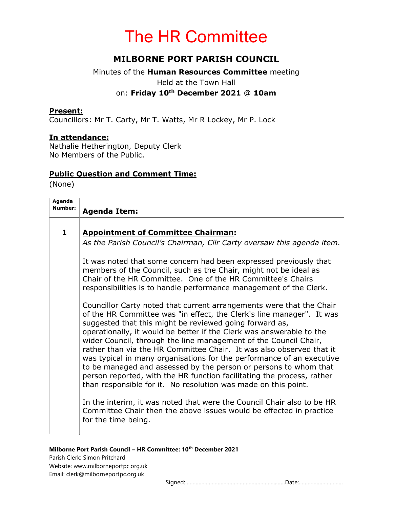# The HR Committee

## MILBORNE PORT PARISH COUNCIL

### Minutes of the Human Resources Committee meeting Held at the Town Hall on: Friday 10<sup>th</sup> December 2021 @ 10am

#### Present:

Councillors: Mr T. Carty, Mr T. Watts, Mr R Lockey, Mr P. Lock

#### In attendance:

Nathalie Hetherington, Deputy Clerk No Members of the Public.

#### Public Question and Comment Time:

(None)

| Agenda<br>Number: | <b>Agenda Item:</b>                                                                                                                                                                                                                                                                                                                                                                                                                                                                                                                                                                                                                                                                                                                                                                             |
|-------------------|-------------------------------------------------------------------------------------------------------------------------------------------------------------------------------------------------------------------------------------------------------------------------------------------------------------------------------------------------------------------------------------------------------------------------------------------------------------------------------------------------------------------------------------------------------------------------------------------------------------------------------------------------------------------------------------------------------------------------------------------------------------------------------------------------|
| $\mathbf{1}$      | <b>Appointment of Committee Chairman:</b><br>As the Parish Council's Chairman, Cllr Carty oversaw this agenda item.                                                                                                                                                                                                                                                                                                                                                                                                                                                                                                                                                                                                                                                                             |
|                   | It was noted that some concern had been expressed previously that<br>members of the Council, such as the Chair, might not be ideal as<br>Chair of the HR Committee. One of the HR Committee's Chairs<br>responsibilities is to handle performance management of the Clerk.                                                                                                                                                                                                                                                                                                                                                                                                                                                                                                                      |
|                   | Councillor Carty noted that current arrangements were that the Chair<br>of the HR Committee was "in effect, the Clerk's line manager". It was<br>suggested that this might be reviewed going forward as,<br>operationally, it would be better if the Clerk was answerable to the<br>wider Council, through the line management of the Council Chair,<br>rather than via the HR Committee Chair. It was also observed that it<br>was typical in many organisations for the performance of an executive<br>to be managed and assessed by the person or persons to whom that<br>person reported, with the HR function facilitating the process, rather<br>than responsible for it. No resolution was made on this point.<br>In the interim, it was noted that were the Council Chair also to be HR |
|                   | Committee Chair then the above issues would be effected in practice<br>for the time being.                                                                                                                                                                                                                                                                                                                                                                                                                                                                                                                                                                                                                                                                                                      |

#### Milborne Port Parish Council - HR Committee: 10<sup>th</sup> December 2021

Parish Clerk: Simon Pritchard Website: www.milborneportpc.org.uk Email: clerk@milborneportpc.org.uk

Signed:……………………………………………………..……Date:…………………………